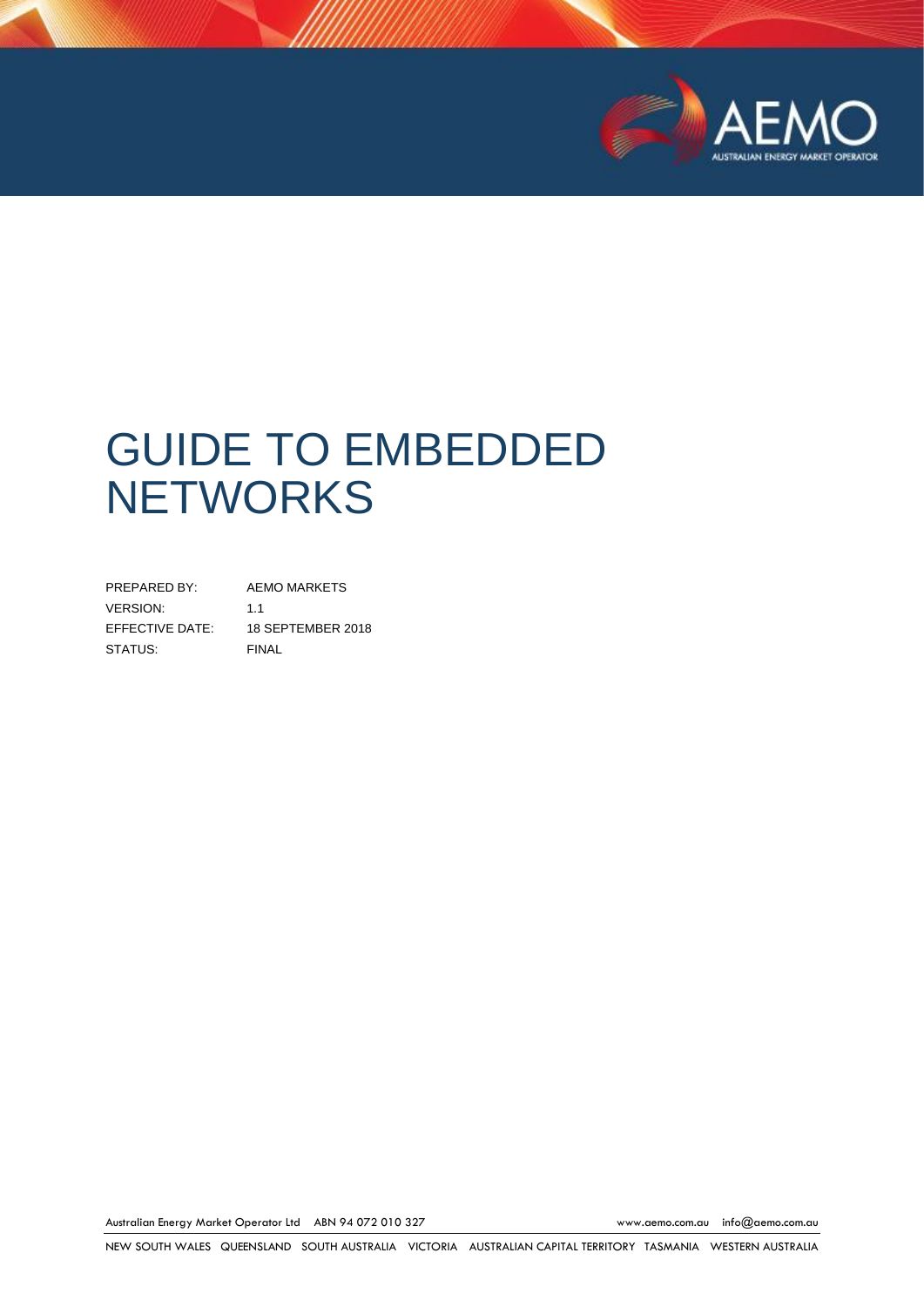

# GUIDE TO EMBEDDED **NETWORKS**

PREPARED BY: AEMO MARKETS VERSION: 1.1 EFFECTIVE DATE: 18 SEPTEMBER 2018 STATUS: FINAL

Australian Energy Market Operator Ltd ABN 94 072 010 327 [www.aemo.com.au](http://www.aemo.com.au/) [info@aemo.com.au](mailto:info@aemo.com.au)

NEW SOUTH WALES QUEENSLAND SOUTH AUSTRALIA VICTORIA AUSTRALIAN CAPITAL TERRITORY TASMANIA WESTERN AUSTRALIA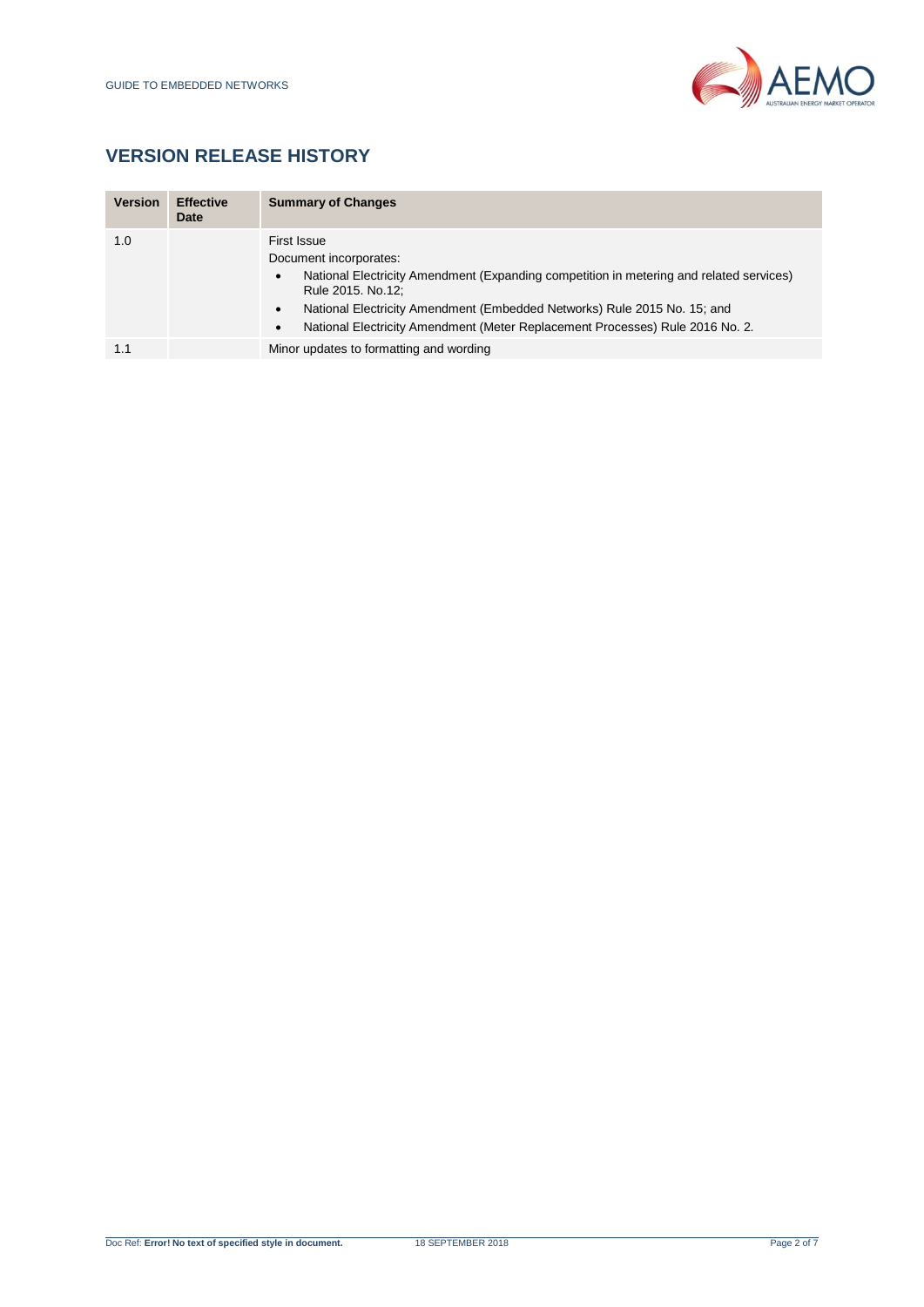

# **VERSION RELEASE HISTORY**

| <b>Version</b> | <b>Effective</b><br>Date | <b>Summary of Changes</b>                                                                                                                                                                                                                                                                                                         |
|----------------|--------------------------|-----------------------------------------------------------------------------------------------------------------------------------------------------------------------------------------------------------------------------------------------------------------------------------------------------------------------------------|
| 1.0            |                          | First Issue<br>Document incorporates:<br>National Electricity Amendment (Expanding competition in metering and related services)<br>٠<br>Rule 2015. No.12;<br>National Electricity Amendment (Embedded Networks) Rule 2015 No. 15; and<br>٠<br>National Electricity Amendment (Meter Replacement Processes) Rule 2016 No. 2.<br>٠ |
| 1.1            |                          | Minor updates to formatting and wording                                                                                                                                                                                                                                                                                           |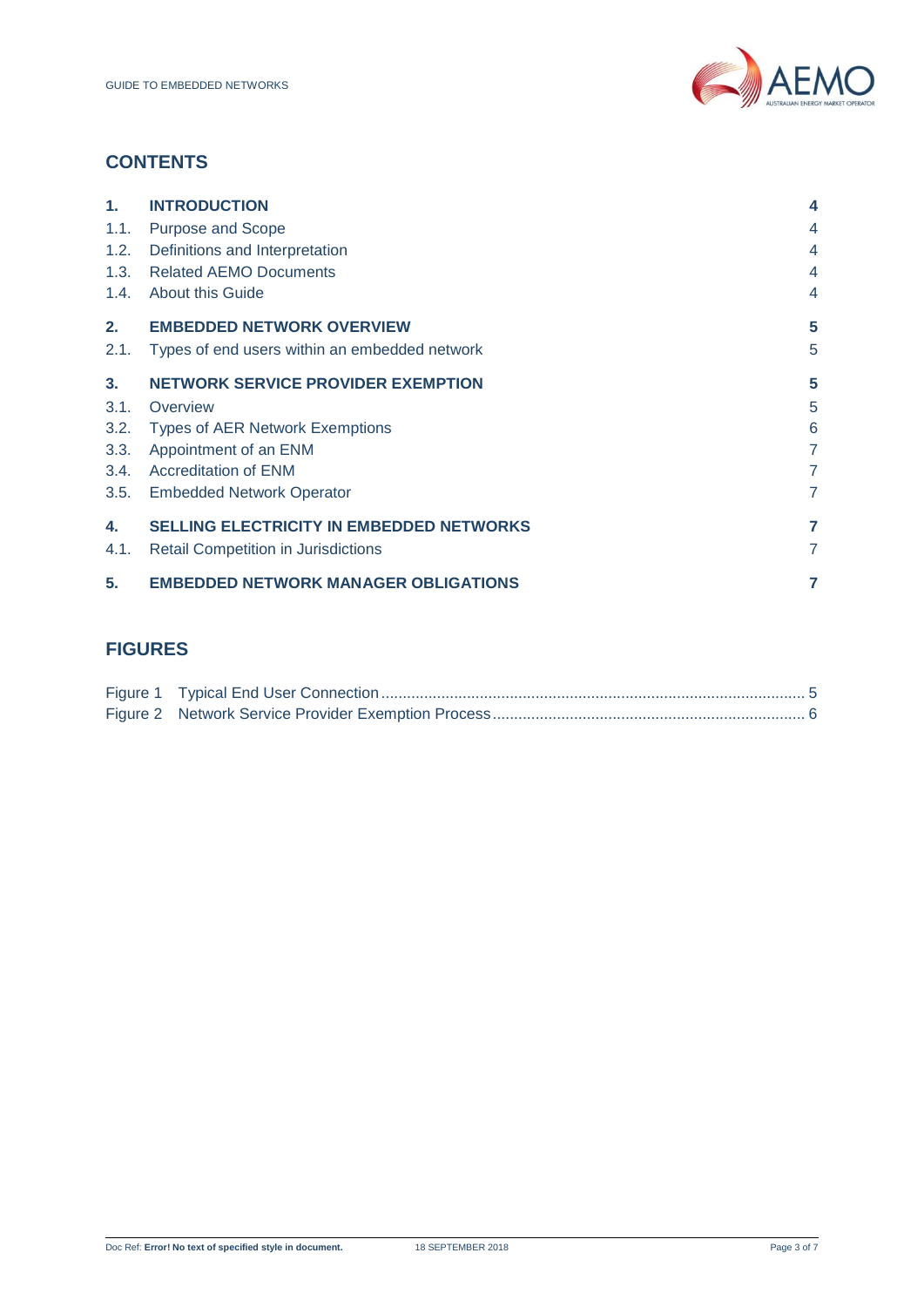

# **CONTENTS**

| 1 <sub>1</sub> | <b>INTRODUCTION</b>                             | $\overline{\bf 4}$ |
|----------------|-------------------------------------------------|--------------------|
| 1.1.           | <b>Purpose and Scope</b>                        | $\overline{4}$     |
| 1.2.           | Definitions and Interpretation                  | $\overline{4}$     |
| 1.3.           | <b>Related AEMO Documents</b>                   | $\overline{4}$     |
| 1.4.           | <b>About this Guide</b>                         | $\overline{4}$     |
| 2.             | <b>EMBEDDED NETWORK OVERVIEW</b>                | 5                  |
| 2.1.           | Types of end users within an embedded network   | 5                  |
| 3 <sub>1</sub> | <b>NETWORK SERVICE PROVIDER EXEMPTION</b>       | 5                  |
| 3.1.           | Overview                                        | 5                  |
| 3.2.           | <b>Types of AER Network Exemptions</b>          | 6                  |
| 3.3.           | Appointment of an ENM                           | $\overline{7}$     |
| 3.4.           | <b>Accreditation of ENM</b>                     | $\overline{7}$     |
| 3.5.           | <b>Embedded Network Operator</b>                | $\overline{7}$     |
| 4.             | <b>SELLING ELECTRICITY IN EMBEDDED NETWORKS</b> | $\overline{7}$     |
| 4.1.           | <b>Retail Competition in Jurisdictions</b>      | $\overline{7}$     |
| 5.             | <b>EMBEDDED NETWORK MANAGER OBLIGATIONS</b>     | 7                  |

# **FIGURES**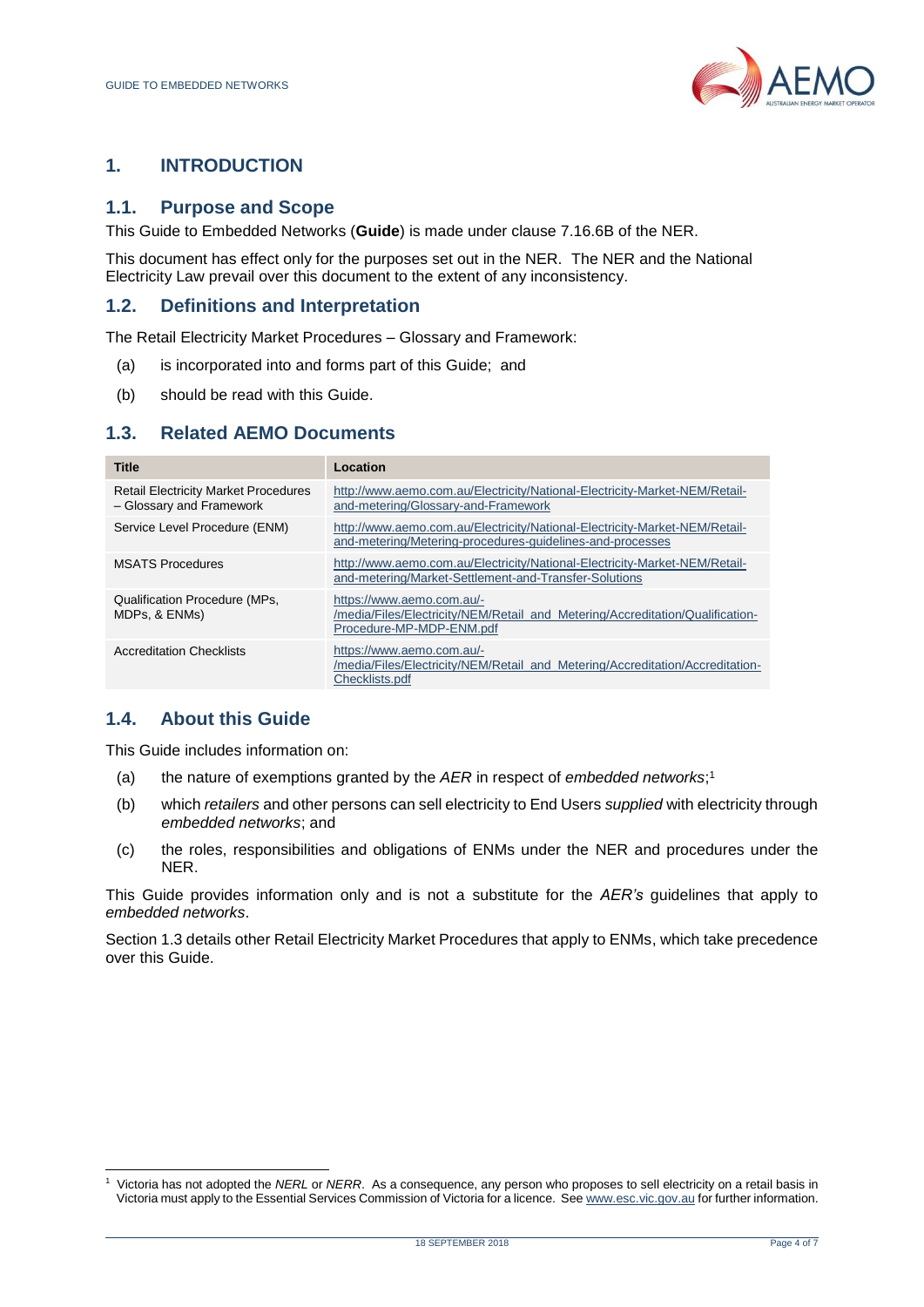

# <span id="page-3-0"></span>**1. INTRODUCTION**

## <span id="page-3-1"></span>**1.1. Purpose and Scope**

This Guide to Embedded Networks (**Guide**) is made under clause 7.16.6B of the NER.

This document has effect only for the purposes set out in the NER. The NER and the National Electricity Law prevail over this document to the extent of any inconsistency.

## <span id="page-3-2"></span>**1.2. Definitions and Interpretation**

The Retail Electricity Market Procedures – Glossary and Framework:

- (a) is incorporated into and forms part of this Guide; and
- (b) should be read with this Guide.

## <span id="page-3-3"></span>**1.3. Related AEMO Documents**

| <b>Title</b>                                                            | Location                                                                                                                                |
|-------------------------------------------------------------------------|-----------------------------------------------------------------------------------------------------------------------------------------|
| <b>Retail Electricity Market Procedures</b><br>- Glossary and Framework | http://www.aemo.com.au/Electricity/National-Electricity-Market-NEM/Retail-<br>and-metering/Glossary-and-Framework                       |
| Service Level Procedure (ENM)                                           | http://www.aemo.com.au/Electricity/National-Electricity-Market-NEM/Retail-<br>and-metering/Metering-procedures-quidelines-and-processes |
| <b>MSATS Procedures</b>                                                 | http://www.aemo.com.au/Electricity/National-Electricity-Market-NEM/Retail-<br>and-metering/Market-Settlement-and-Transfer-Solutions     |
| <b>Qualification Procedure (MPs,</b><br>MDPs, & ENMs)                   | https://www.aemo.com.au/-<br>/media/Files/Electricity/NEM/Retail and Metering/Accreditation/Qualification-<br>Procedure-MP-MDP-ENM.pdf  |
| <b>Accreditation Checklists</b>                                         | https://www.aemo.com.au/-<br>/media/Files/Electricity/NEM/Retail and Metering/Accreditation/Accreditation-<br>Checklists.pdf            |

#### <span id="page-3-4"></span>**1.4. About this Guide**

This Guide includes information on:

- (a) the nature of exemptions granted by the *AER* in respect of *embedded networks*; 1
- (b) which *retailers* and other persons can sell electricity to End Users *supplied* with electricity through *embedded networks*; and
- (c) the roles, responsibilities and obligations of ENMs under the NER and procedures under the NER.

This Guide provides information only and is not a substitute for the *AER's* guidelines that apply to *embedded networks*.

Section 1.3 details other Retail Electricity Market Procedures that apply to ENMs, which take precedence over this Guide.

l <sup>1</sup> Victoria has not adopted the *NERL* or *NERR*. As a consequence, any person who proposes to sell electricity on a retail basis in Victoria must apply to the Essential Services Commission of Victoria for a licence. Se[e www.esc.vic.gov.au](http://www.esc.vic.gov.au/) for further information.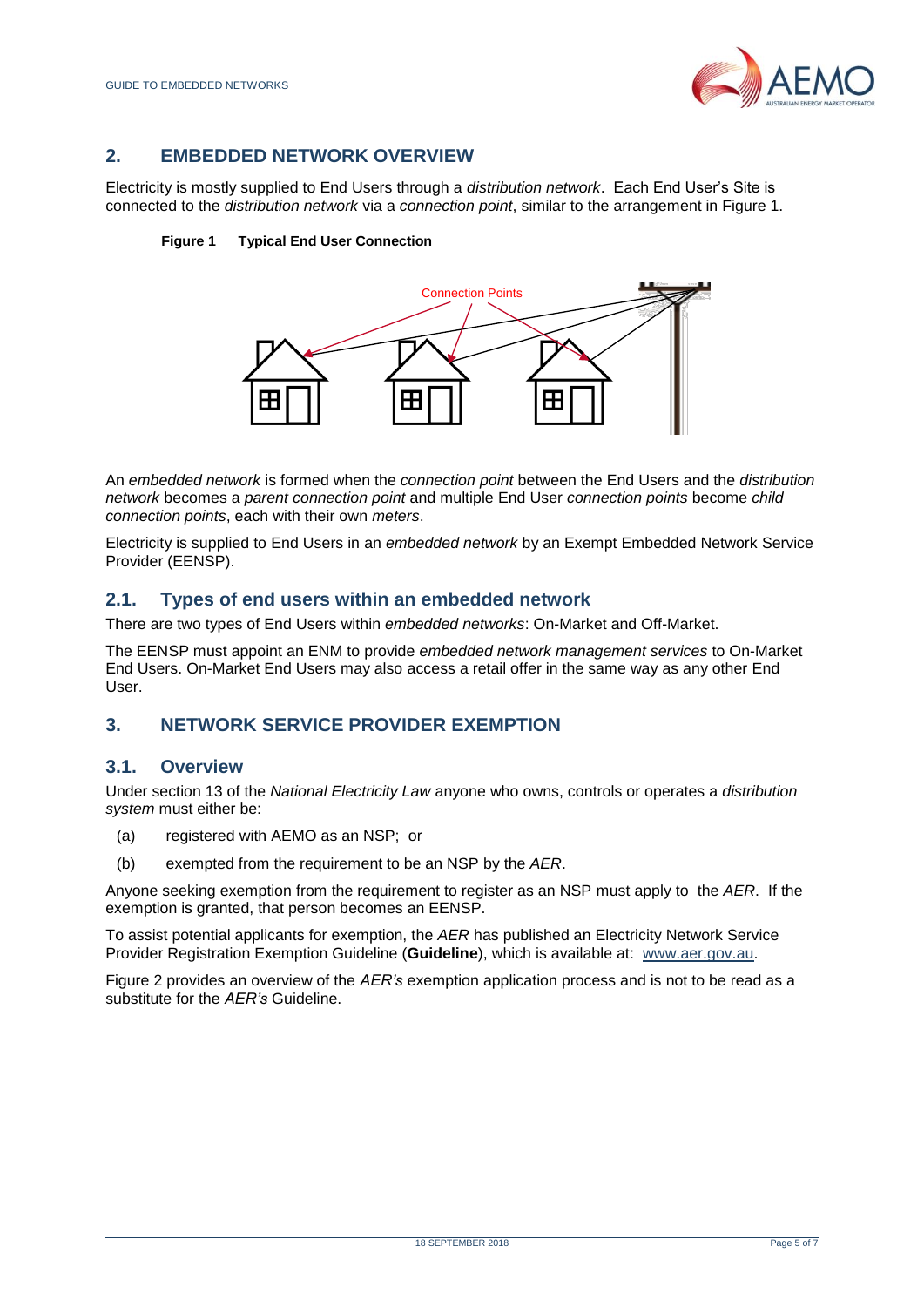

# <span id="page-4-0"></span>**2. EMBEDDED NETWORK OVERVIEW**

<span id="page-4-4"></span>Electricity is mostly supplied to End Users through a *distribution network*. Each End User's Site is connected to the *distribution network* via a *connection point*, similar to the arrangement in Figure 1.





An *embedded network* is formed when the *connection point* between the End Users and the *distribution network* becomes a *parent connection point* and multiple End User *connection points* become *child connection points*, each with their own *meters*.

Electricity is supplied to End Users in an *embedded network* by an Exempt Embedded Network Service Provider (EENSP).

#### <span id="page-4-1"></span>**2.1. Types of end users within an embedded network**

There are two types of End Users within *embedded networks*: On-Market and Off-Market.

The EENSP must appoint an ENM to provide *embedded network management services* to On-Market End Users. On-Market End Users may also access a retail offer in the same way as any other End User.

#### <span id="page-4-2"></span>**3. NETWORK SERVICE PROVIDER EXEMPTION**

#### <span id="page-4-3"></span>**3.1. Overview**

Under section 13 of the *National Electricity Law* anyone who owns, controls or operates a *distribution system* must either be:

- (a) registered with AEMO as an NSP; or
- (b) exempted from the requirement to be an NSP by the *AER*.

Anyone seeking exemption from the requirement to register as an NSP must apply to the *AER*. If the exemption is granted, that person becomes an EENSP.

To assist potential applicants for exemption, the *AER* has published an Electricity Network Service Provider Registration Exemption Guideline (**Guideline**), which is available at: [www.aer.gov.au.](http://www.aer.gov.au/)

Figure 2 provides an overview of the *AER's* exemption application process and is not to be read as a substitute for the *AER's* Guideline.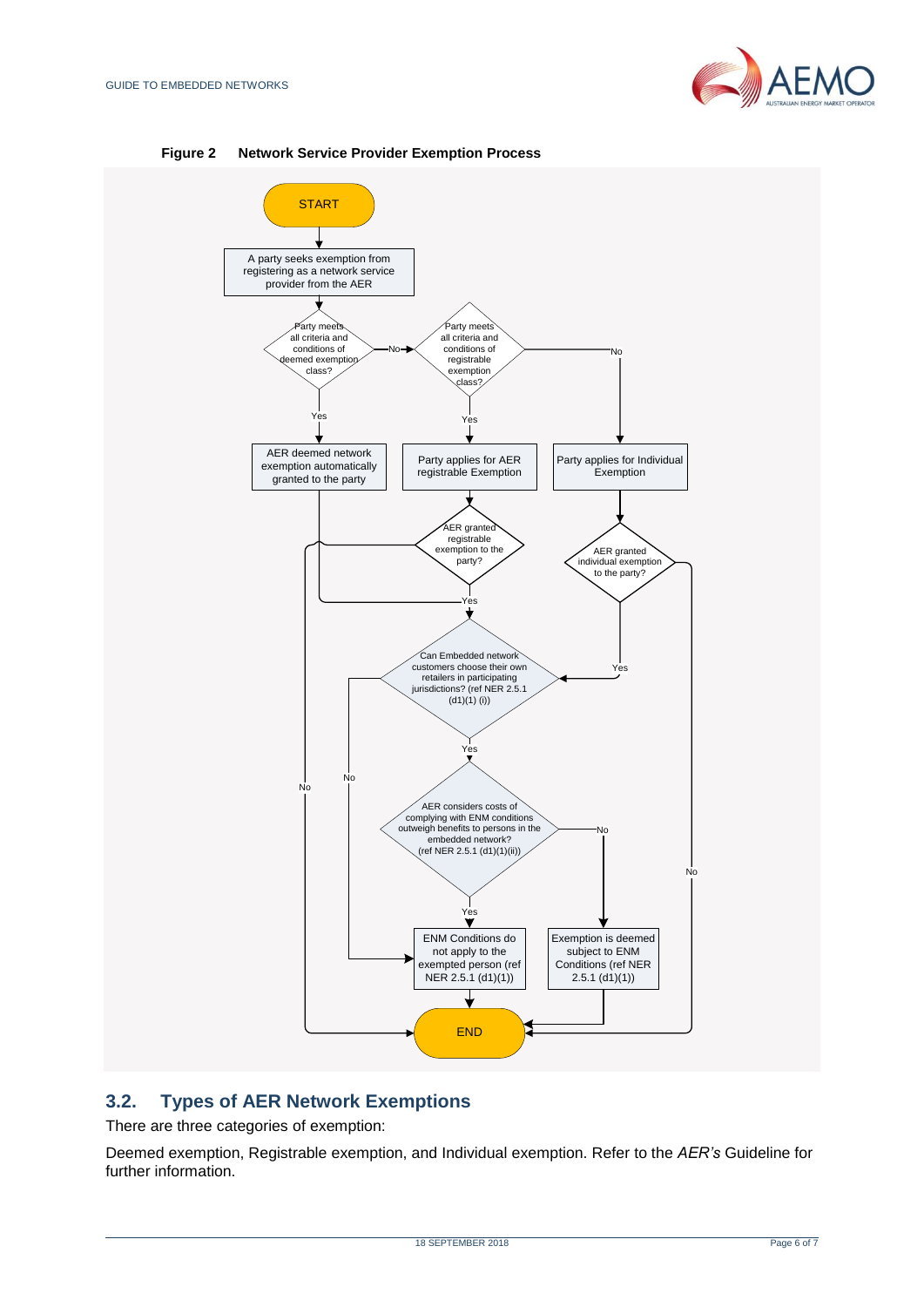

<span id="page-5-1"></span>

**Figure 2 Network Service Provider Exemption Process**

# <span id="page-5-0"></span>**3.2. Types of AER Network Exemptions**

There are three categories of exemption:

Deemed exemption, Registrable exemption, and Individual exemption. Refer to the *AER's* Guideline for further information.